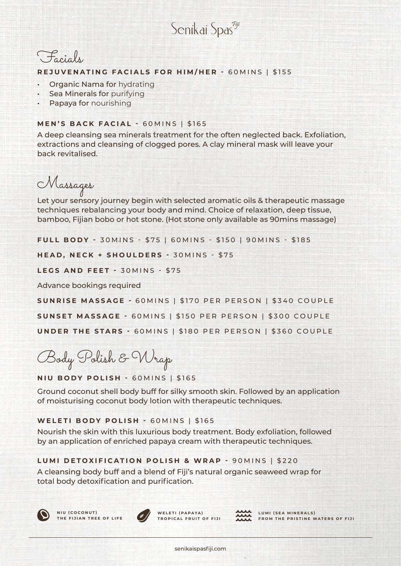Senikai Spas<sup>egij</sup>



#### **REJUVENATING FACIALS FOR HIM/HER -** 60MINS | \$155

- Organic Nama for hydrating
- **Sea Minerals for purifying**
- Papaya for nourishing

### **MEN'S BACK FACIAL -** 60MINS | \$165

A deep cleansing sea minerals treatment for the often neglected back. Exfoliation, extractions and cleansing of clogged pores. A clay mineral mask will leave your back revitalised.

Massages

Let your sensory journey begin with selected aromatic oils & therapeutic massage techniques rebalancing your body and mind. Choice of relaxation, deep tissue, bamboo, Fijian bobo or hot stone. (Hot stone only available as 90mins massage)

**FULL BODY - 30 M INS - \$75 | 60 M INS - \$150 | 90 M INS - \$185** 

**HEAD, NECK + SHOULDERS - 30MINS - \$75** 

**LEGS AND FEET -** 30MINS - \$75

Advance bookings required

**SUNRISE MASSAGE -** 60MINS | \$170 PER PERSON | \$340 COUPLE **SUNSET MASSAGE -** 60MINS | \$150 PER PERSON | \$300 COUPLE **UNDER THE STARS -** 60MINS | \$180 PER PERSON | \$360 COUPLE

Body Polish & Wrap

**NIU BODY POLISH -** 60MINS | \$165

Ground coconut shell body buff for silky smooth skin. Followed by an application of moisturising coconut body lotion with therapeutic techniques.

#### **WELETI BODY POLISH -** 60MINS | \$165

Nourish the skin with this luxurious body treatment. Body exfoliation, followed by an application of enriched papaya cream with therapeutic techniques.

#### **LUMI DETOXIFICATION POLISH & WRAP -** 90MINS | \$220

A cleansing body buff and a blend of Fiji's natural organic seaweed wrap for total body detoxification and purification.





WELETI (PAPAYA) **TROPICAL FRUIT OF FIJI**



LUMI (SEA MINERALS) **FROM THE PRISTINE WATERS OF FIJI**